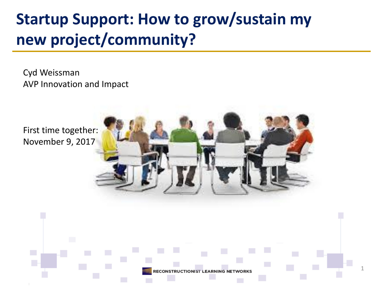# **Startup Support: How to grow/sustain my new project/community?**

Cyd Weissman AVP Innovation and Impact

First time together: November 9, 2017

**College**  $\mathcal{L}_{\mathcal{A}}$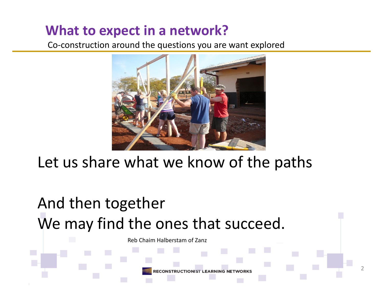#### **What to expect in a network?**

Co-construction around the questions you are want explored



## Let us share what we know of the paths

# And then together We may find the ones that succeed.

**College** 

Reb Chaim Halberstam of Zanz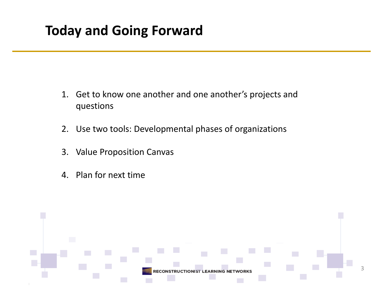#### **Today and Going Forward**

- 1. Get to know one another and one another's projects and questions
- 2. Use two tools: Developmental phases of organizations
- 3. Value Proposition Canvas
- 4. Plan for next time

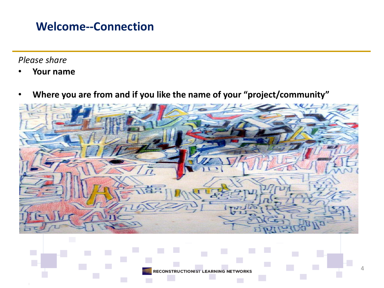#### **Welcome--Connection**

*Please share*

- **Your name**
- **Where you are from and if you like the name of your "project/community"**

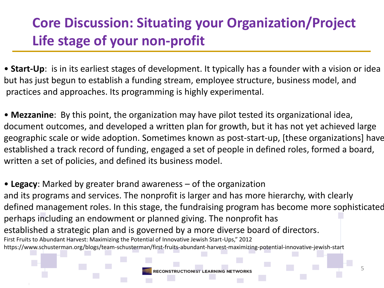### **Core Discussion: Situating your Organization/Project Life stage of your non-profit**

• **Start-Up**: is in its earliest stages of development. It typically has a founder with a vision or idea but has just begun to establish a funding stream, employee structure, business model, and practices and approaches. Its programming is highly experimental.

• **Mezzanine**: By this point, the organization may have pilot tested its organizational idea, document outcomes, and developed a written plan for growth, but it has not yet achieved large geographic scale or wide adoption. Sometimes known as post-start-up, [these organizations] have established a track record of funding, engaged a set of people in defined roles, formed a board, written a set of policies, and defined its business model.

• **Legacy**: Marked by greater brand awareness – of the organization and its programs and services. The nonprofit is larger and has more hierarchy, with clearly defined management roles. In this stage, the fundraising program has become more sophisticated, perhaps including an endowment or planned giving. The nonprofit has established a strategic plan and is governed by a more diverse board of directors. First Fruits to Abundant Harvest: Maximizing the Potential of Innovative Jewish Start-Ups," 2012 https://www.schusterman.org/blogs/team-schusterman/first-fruits-abundant-harvest-maximizing-potential-innovative-jewish-start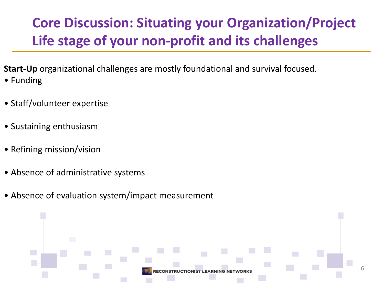## **Core Discussion: Situating your Organization/Project Life stage of your non-profit and its challenges**

- **Start-Up** organizational challenges are mostly foundational and survival focused. • Funding
- Staff/volunteer expertise
- Sustaining enthusiasm
- Refining mission/vision
- Absence of administrative systems
- Absence of evaluation system/impact measurement

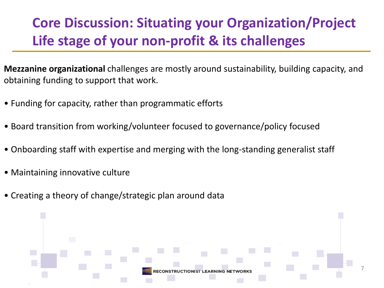## **Core Discussion: Situating your Organization/Project Life stage of your non-profit & its challenges**

**Mezzanine organizational** challenges are mostly around sustainability, building capacity, and obtaining funding to support that work.

- Funding for capacity, rather than programmatic efforts
- Board transition from working/volunteer focused to governance/policy focused
- Onboarding staff with expertise and merging with the long-standing generalist staff
- Maintaining innovative culture
- Creating a theory of change/strategic plan around data

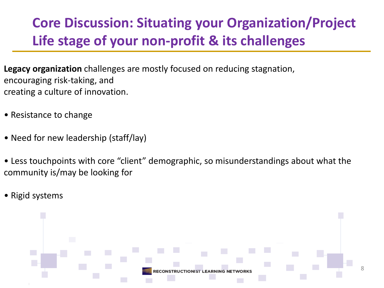## **Core Discussion: Situating your Organization/Project Life stage of your non-profit & its challenges**

**Legacy organization** challenges are mostly focused on reducing stagnation, encouraging risk-taking, and creating a culture of innovation.

- Resistance to change
- Need for new leadership (staff/lay)
- Less touchpoints with core "client" demographic, so misunderstandings about what the community is/may be looking for
- Rigid systems

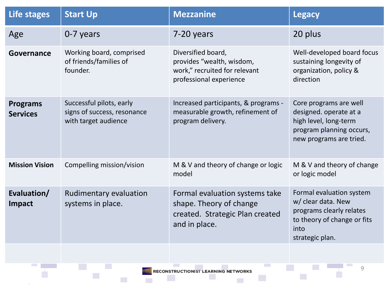| Life stages                        | <b>Start Up</b>                                                                 | <b>Mezzanine</b>                                                                                              | <b>Legacy</b>                                                                                                                        |
|------------------------------------|---------------------------------------------------------------------------------|---------------------------------------------------------------------------------------------------------------|--------------------------------------------------------------------------------------------------------------------------------------|
| Age                                | 0-7 years                                                                       | 7-20 years                                                                                                    | 20 plus                                                                                                                              |
| Governance                         | Working board, comprised<br>of friends/families of<br>founder.                  | Diversified board,<br>provides "wealth, wisdom,<br>work," recruited for relevant<br>professional experience   | Well-developed board focus<br>sustaining longevity of<br>organization, policy &<br>direction                                         |
| <b>Programs</b><br><b>Services</b> | Successful pilots, early<br>signs of success, resonance<br>with target audience | Increased participants, & programs -<br>measurable growth, refinement of<br>program delivery.                 | Core programs are well<br>designed. operate at a<br>high level, long-term<br>program planning occurs,<br>new programs are tried.     |
| <b>Mission Vision</b>              | Compelling mission/vision                                                       | M & V and theory of change or logic<br>model                                                                  | M & V and theory of change<br>or logic model                                                                                         |
| Evaluation/<br>Impact              | <b>Rudimentary evaluation</b><br>systems in place.                              | Formal evaluation systems take<br>shape. Theory of change<br>created. Strategic Plan created<br>and in place. | Formal evaluation system<br>w/ clear data. New<br>programs clearly relates<br>to theory of change or fits<br>into<br>strategic plan. |

**COL** 

 $\mathcal{L}_{\mathcal{A}}$ 

 $\sim 100$ 

 $\mathcal{L}_{\mathcal{A}}$ 

 $\mathcal{L}_{\mathcal{A}}$ 

 $\mathcal{L}^{\text{max}}$ 

Ŧ

m.

**COL** 

 $\mathcal{L}_{\mathcal{A}}$ 

 $\mathcal{L}_{\mathcal{A}}$ 

à,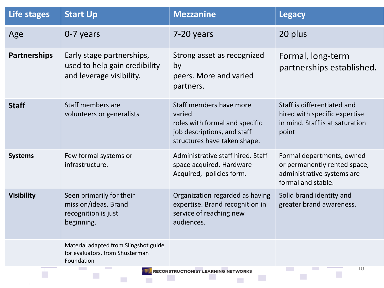| Life stages         | <b>Start Up</b>                                                                        | <b>Mezzanine</b>                                                                                                                   | <b>Legacy</b>                                                                                                 |
|---------------------|----------------------------------------------------------------------------------------|------------------------------------------------------------------------------------------------------------------------------------|---------------------------------------------------------------------------------------------------------------|
| Age                 | 0-7 years                                                                              | 7-20 years                                                                                                                         | 20 plus                                                                                                       |
| <b>Partnerships</b> | Early stage partnerships,<br>used to help gain credibility<br>and leverage visibility. | Strong asset as recognized<br>by<br>peers. More and varied<br>partners.                                                            | Formal, long-term<br>partnerships established.                                                                |
| <b>Staff</b>        | Staff members are<br>volunteers or generalists                                         | Staff members have more<br>varied<br>roles with formal and specific<br>job descriptions, and staff<br>structures have taken shape. | Staff is differentiated and<br>hired with specific expertise<br>in mind. Staff is at saturation<br>point      |
| <b>Systems</b>      | Few formal systems or<br>infrastructure.                                               | Administrative staff hired. Staff<br>space acquired. Hardware<br>Acquired, policies form.                                          | Formal departments, owned<br>or permanently rented space,<br>administrative systems are<br>formal and stable. |
| <b>Visibility</b>   | Seen primarily for their<br>mission/ideas. Brand<br>recognition is just<br>beginning.  | Organization regarded as having<br>expertise. Brand recognition in<br>service of reaching new<br>audiences.                        | Solid brand identity and<br>greater brand awareness.                                                          |
|                     | Material adapted from Slingshot guide<br>for evaluators, from Shusterman<br>Foundation |                                                                                                                                    |                                                                                                               |
|                     | 10<br>RECONSTRUCTIONIST LEARNING NETWORKS                                              |                                                                                                                                    |                                                                                                               |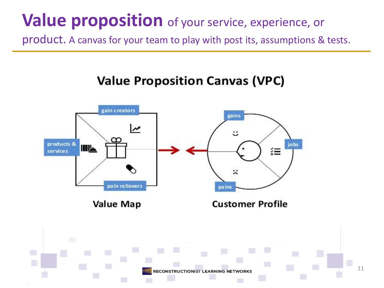# **Value proposition** of your service, experience, or

product. A canvas for your team to play with post its, assumptions & tests.

#### **Value Proposition Canvas (VPC)**